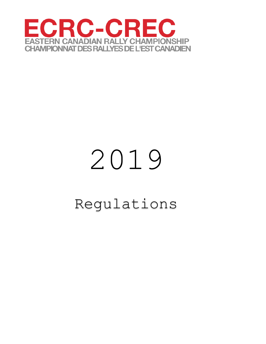

# Regulations 2019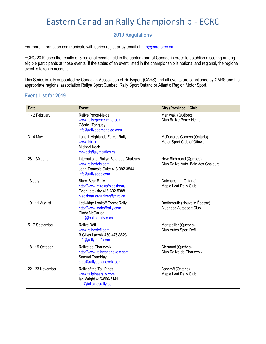# Eastern Canadian Rally Championship - ECRC

# **2019 Regulations**

For more information communicate with series registrar by email at [info@ecrc-crec.ca.](mailto:info@ecrc-crec.ca)

ECRC 2019 uses the results of 8 regional events held in the eastern part of Canada in order to establish a scoring among eligible participants at those events. If the status of an event listed in the championship is national and regional, the regional event is taken in account.

This Series is fully supported by Canadian Association of Rallysport (CARS) and all events are sanctioned by CARS and the appropriate regional association Rallye Sport Québec, Rally Sport Ontario or Atlantic Region Motor Sport.

### **Event List for 2019**

| <b>Date</b>                 | <b>Event</b>                                                                                                           | City (Province) / Club                                         |
|-----------------------------|------------------------------------------------------------------------------------------------------------------------|----------------------------------------------------------------|
| $\overline{1}$ - 2 February | Rallye Perce-Neige<br>www.rallyeperceneige.com<br>Cécrick Tanguay<br>info@rallyeperceneige.com                         | Maniwaki (Québec)<br>Club Rallye Perce-Neige                   |
| $3 - 4$ May                 | Lanark Highlands Forest Rally<br>www.lhfr.ca<br>Michael Koch<br>mpkoch@sympatico.ca                                    | McDonalds Corners (Ontario)<br>Motor Sport Club of Ottawa      |
| 28 - 30 June                | International Rallye Baie-des-Chaleurs<br>www.rallyebdc.com<br>Jean-François Guité 418-392-3544<br>info@rallyebdc.com  | New-Richmond (Québec)<br>Club Rallye Auto Baie-des-Chaleurs    |
| 13 July                     | <b>Black Bear Rally</b><br>http://www.mlrc.ca/blackbear/<br>Tyler Letovsky 416-602-5088<br>blackbear.organizer@mlrc.ca | Catchacoma (Ontario)<br>Maple Leaf Rally Club                  |
| 10 - 11 August              | Ledwidge Lookoff Forest Rally<br>http://www.lookoffrally.com<br>Cindy McCarron<br>info@lookoffrally.com                | Darthmouth (Nouvelle-Écosse)<br><b>Bluenose Autosport Club</b> |
| 5 - 7 September             | Rallye Défi<br>www.rallyedefi.com<br><b>B.Gilles Lacroix 450-475-8828</b><br>info@rallyedefi.com                       | Montpellier (Québec)<br>Club Autos Sport Défi                  |
| 18 - 19 October             | Rallye de Charlevoix<br>http://www.rallyecharlevoix.com<br>Samuel Tremblay<br>crdc@rallyecharlevoix.com                | Clermont (Québec)<br>Club Rallye de Charlevoix                 |
| 22 - 23 November            | Rally of the Tall Pines<br>www.tallpinesrally.com<br>lan Wright 416-606-5141<br>ian@tallpinesrally.com                 | Bancroft (Ontario)<br>Maple Leaf Rally Club                    |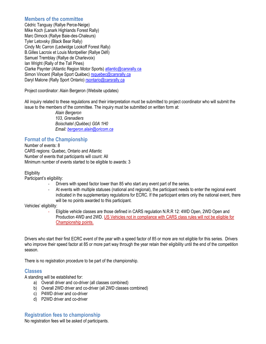# **Members of the committee**

Cédric Tanguay (Rallye Perce-Neige) Mike Koch (Lanark Highlands Forest Rally) Marc Dimock (Rallye Baie-des-Chaleurs) Tyler Letovsky (Black Bear Rally) Cindy Mc Carron (Ledwidge Lookoff Forest Rally) B.Gilles Lacroix et Louis Montpellier (Rallye Défi) Samuel Tremblay (Rallye de Charlevoix) Ian Wright (Rally of the Tall Pines) Clarke Paynter (Atlantic Region Motor Sports) [atlantic@carsrally.ca](mailto:atlantic@carsrally.ca) Simon Vincent (Rallye Sport Québec) [rsquebec@carsrally.ca](mailto:rsquebec@carsrally.ca) Daryl Malone (Rally Sport Ontario) [rsontario@carsrally.ca](mailto:rsontario@carsrally.ca)

Project coordinator: Alain Bergeron (Website updates)

All inquiry related to these regulations and their interpretation must be submitted to project coordinator who will submit the issue to the members of the committee. The inquiry must be submitted on written form at:

> *Alain Bergeron 103, Grenadiers Boischatel (Québec) G0A 1H0 Email: [bergeron.alain@oricom.ca](mailto:bergeron.alain@oricom.ca)*

# **Format of the Championship**

Number of events: 8 CARS regions: Quebec, Ontario and Atlantic Number of events that participants will count: All Minimum number of events started to be eligible to awards: 3

**Eligibility** 

Participant's eligibility:

- Drivers with speed factor lower than 85 who start any event part of the series.
- At events with multiple statuses (national and regional), the participant needs to enter the regional event indicated in the supplementary regulations for ECRC. If the participant enters only the national event, there will be no points awarded to this participant.

Vehicles' eligibility:

- Eligible vehicle classes are those defined in CARS regulation N.R.R 12: 4WD Open, 2WD Open and Production 4WD and 2WD. US Vehicles not in compliance with CARS class rules will not be eligible for Championship points.

Drivers who start their first ECRC event of the year with a speed factor of 85 or more are not eligible for this series. Drivers who improve their speed factor at 85 or more part way through the year retain their eligibility until the end of the competition season.

There is no registration procedure to be part of the championship.

# **Classes**

A standing will be established for:

- a) Overall driver and co-driver (all classes combined)
- b) Overall 2WD driver and co-driver (all 2WD classes combined)
- c) P4WD driver and co-driver
- d) P2WD driver and co-driver

# **Registration fees to championship**

No registration fees will be asked of participants.